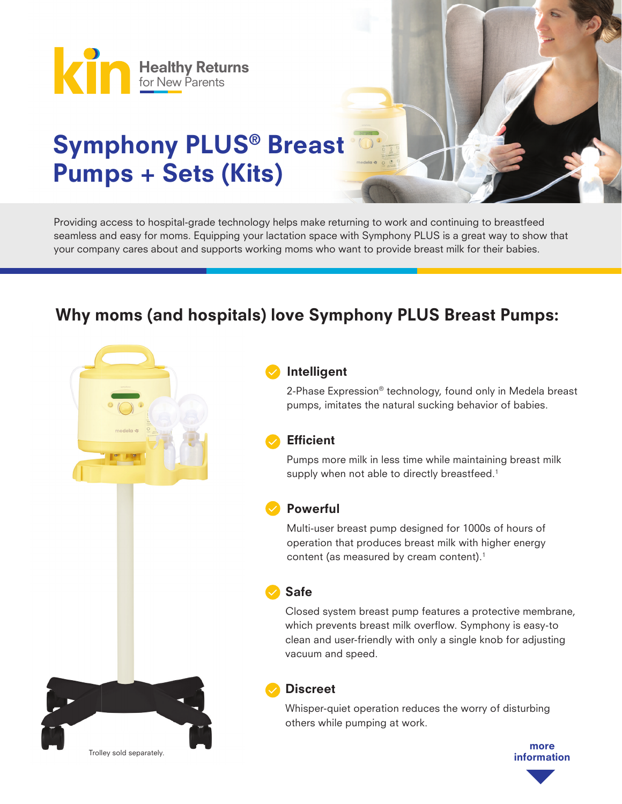

# Symphony PLUS® Breast Pumps + Sets (Kits)

Providing access to hospital-grade technology helps make returning to work and continuing to breastfeed seamless and easy for moms. Equipping your lactation space with Symphony PLUS is a great way to show that your company cares about and supports working moms who want to provide breast milk for their babies.

## Why moms (and hospitals) love Symphony PLUS Breast Pumps:



#### Intelligent

2-Phase Expression® technology, found only in Medela breast pumps, imitates the natural sucking behavior of babies.

#### **Efficient**

Pumps more milk in less time while maintaining breast milk supply when not able to directly breastfeed.<sup>1</sup>

#### Powerful

Multi-user breast pump designed for 1000s of hours of operation that produces breast milk with higher energy content (as measured by cream content).<sup>1</sup>

#### Safe

Closed system breast pump features a protective membrane, which prevents breast milk overflow. Symphony is easy-to clean and user-friendly with only a single knob for adjusting vacuum and speed.

### **Discreet**

Whisper-quiet operation reduces the worry of disturbing others while pumping at work.